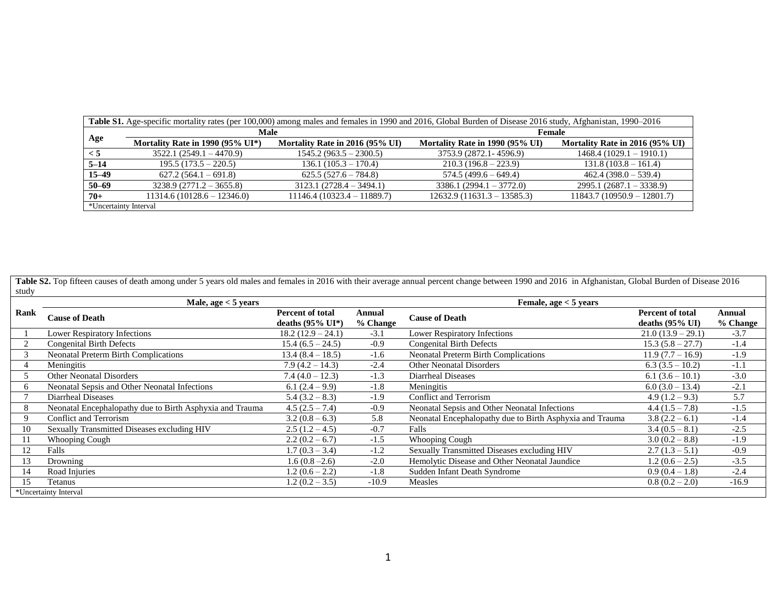|                       | Table S1. Age-specific mortality rates (per 100,000) among males and females in 1990 and 2016, Global Burden of Disease 2016 study, Afghanistan, 1990-2016 |                                 |                                 |                                 |  |  |  |  |
|-----------------------|------------------------------------------------------------------------------------------------------------------------------------------------------------|---------------------------------|---------------------------------|---------------------------------|--|--|--|--|
|                       | Male                                                                                                                                                       |                                 | Female                          |                                 |  |  |  |  |
| Age                   | Mortality Rate in 1990 (95% $UI^*$ )                                                                                                                       | Mortality Rate in 2016 (95% UI) | Mortality Rate in 1990 (95% UI) | Mortality Rate in 2016 (95% UI) |  |  |  |  |
| $\leq 5$              | $3522.1(2549.1 - 4470.9)$                                                                                                                                  | $1545.2(963.5 - 2300.5)$        | 3753.9 (2872.1 - 4596.9)        | $1468.4(1029.1 - 1910.1)$       |  |  |  |  |
| $5 - 14$              | $195.5(173.5 - 220.5)$                                                                                                                                     | $136.1(105.3 - 170.4)$          | $210.3(196.8-223.9)$            | $131.8(103.8 - 161.4)$          |  |  |  |  |
| $15 - 49$             | $627.2(564.1-691.8)$                                                                                                                                       | $625.5(527.6 - 784.8)$          | $574.5(499.6 - 649.4)$          | $462.4(398.0 - 539.4)$          |  |  |  |  |
| $50 - 69$             | $3238.9(2771.2 - 3655.8)$                                                                                                                                  | $3123.1 (2728.4 - 3494.1)$      | $3386.1 (2994.1 - 3772.0)$      | $2995.1 (2687.1 - 3338.9)$      |  |  |  |  |
| $70+$                 | $11314.6(10128.6 - 12346.0)$                                                                                                                               | $11146.4(10323.4 - 11889.7)$    | $12632.9(11631.3 - 13585.3)$    | $11843.7(10950.9 - 12801.7)$    |  |  |  |  |
| *Uncertainty Interval |                                                                                                                                                            |                                 |                                 |                                 |  |  |  |  |

Table S2. Top fifteen causes of death among under 5 years old males and females in 2016 with their average annual percent change between 1990 and 2016 in Afghanistan, Global Burden of Disease 2016 study

|      | Male, age $<$ 5 years                                    |                                                 |                    | Female, $age < 5$ years                                  |                                               |                    |
|------|----------------------------------------------------------|-------------------------------------------------|--------------------|----------------------------------------------------------|-----------------------------------------------|--------------------|
| Rank | <b>Cause of Death</b>                                    | Percent of total<br>deaths $(95\% \text{ UI*})$ | Annual<br>% Change | <b>Cause of Death</b>                                    | <b>Percent of total</b><br>deaths $(95\%$ UI) | Annual<br>% Change |
|      | <b>Lower Respiratory Infections</b>                      | $18.2(12.9 - 24.1)$                             | $-3.1$             | <b>Lower Respiratory Infections</b>                      | $21.0(13.9-29.1)$                             | $-3.7$             |
|      | <b>Congenital Birth Defects</b>                          | $15.4(6.5 - 24.5)$                              | $-0.9$             | <b>Congenital Birth Defects</b>                          | $15.3(5.8 - 27.7)$                            | $-1.4$             |
|      | Neonatal Preterm Birth Complications                     | $13.4(8.4-18.5)$                                | $-1.6$             | <b>Neonatal Preterm Birth Complications</b>              | $11.9(7.7 - 16.9)$                            | $-1.9$             |
|      | Meningitis                                               | $7.9(4.2 - 14.3)$                               | $-2.4$             | <b>Other Neonatal Disorders</b>                          | $6.3(3.5-10.2)$                               | $-1.1$             |
|      | <b>Other Neonatal Disorders</b>                          | $7.4(4.0 - 12.3)$                               | $-1.3$             | Diarrheal Diseases                                       | $6.1(3.6-10.1)$                               | $-3.0$             |
| O    | Neonatal Sepsis and Other Neonatal Infections            | 6.1 $(2.4 - 9.9)$                               | $-1.8$             | Meningitis                                               | $6.0(3.0-13.4)$                               | $-2.1$             |
|      | Diarrheal Diseases                                       | $5.4(3.2 - 8.3)$                                | $-1.9$             | <b>Conflict and Terrorism</b>                            | $4.9(1.2 - 9.3)$                              | 5.7                |
| 8    | Neonatal Encephalopathy due to Birth Asphyxia and Trauma | $4.5(2.5 - 7.4)$                                | $-0.9$             | Neonatal Sepsis and Other Neonatal Infections            | $4.4(1.5 - 7.8)$                              | $-1.5$             |
| 9    | Conflict and Terrorism                                   | $3.2(0.8-6.3)$                                  | 5.8                | Neonatal Encephalopathy due to Birth Asphyxia and Trauma | $3.8(2.2-6.1)$                                | $-1.4$             |
| 10   | Sexually Transmitted Diseases excluding HIV              | $2.5(1.2-4.5)$                                  | $-0.7$             | Falls                                                    | $3.4(0.5 - 8.1)$                              | $-2.5$             |
| 11   | <b>Whooping Cough</b>                                    | $2.2(0.2-6.7)$                                  | $-1.5$             | Whooping Cough                                           | $3.0(0.2 - 8.8)$                              | $-1.9$             |
| 12   | Falls                                                    | $1.7(0.3 - 3.4)$                                | $-1.2$             | Sexually Transmitted Diseases excluding HIV              | $2.7(1.3-5.1)$                                | $-0.9$             |
| 13   | Drowning                                                 | $1.6(0.8 - 2.6)$                                | $-2.0$             | Hemolytic Disease and Other Neonatal Jaundice            | $1.2(0.6 - 2.5)$                              | $-3.5$             |
| 14   | Road Injuries                                            | $1.2(0.6-2.2)$                                  | $-1.8$             | Sudden Infant Death Syndrome                             | $0.9(0.4-1.8)$                                | $-2.4$             |
| 15   | Tetanus                                                  | $1.2(0.2 - 3.5)$                                | $-10.9$            | Measles                                                  | $0.8(0.2 - 2.0)$                              | $-16.9$            |
|      | *Uncertainty Interval                                    |                                                 |                    |                                                          |                                               |                    |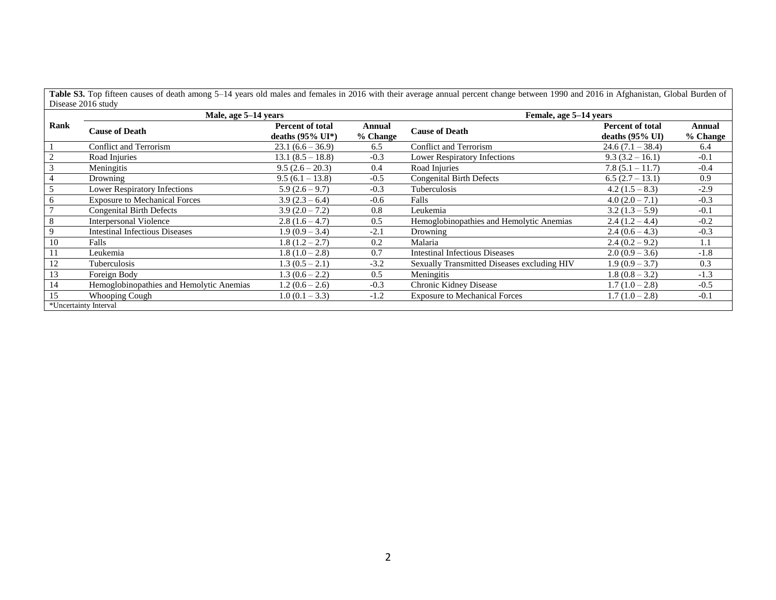Table S3. Top fifteen causes of death among 5–14 years old males and females in 2016 with their average annual percent change between 1990 and 2016 in Afghanistan, Global Burden of Disease 2016 study

|                | Male, age 5–14 years                     |                                                        |                    | Female, age 5–14 years                      |                                                       |                    |
|----------------|------------------------------------------|--------------------------------------------------------|--------------------|---------------------------------------------|-------------------------------------------------------|--------------------|
| Rank           | <b>Cause of Death</b>                    | <b>Percent of total</b><br>deaths $(95\% \text{ UI*})$ | Annual<br>% Change | <b>Cause of Death</b>                       | <b>Percent of total</b><br>deaths $(95\% \text{ UI})$ | Annual<br>% Change |
|                | <b>Conflict and Terrorism</b>            | $23.1(6.6 - 36.9)$                                     | 6.5                | Conflict and Terrorism                      | $24.6(7.1 - 38.4)$                                    | 6.4                |
| 2              | Road Injuries                            | $13.1 (8.5 - 18.8)$                                    | $-0.3$             | Lower Respiratory Infections                | $9.3(3.2 - 16.1)$                                     | $-0.1$             |
| 3              | Meningitis                               | $9.5(2.6-20.3)$                                        | 0.4                | Road Injuries                               | $7.8(5.1 - 11.7)$                                     | $-0.4$             |
| 4              | Drowning                                 | $9.5(6.1 - 13.8)$                                      | $-0.5$             | <b>Congenital Birth Defects</b>             | $6.5(2.7 - 13.1)$                                     | 0.9                |
| 5              | Lower Respiratory Infections             | $5.9(2.6-9.7)$                                         | $-0.3$             | Tuberculosis                                | $4.2(1.5-8.3)$                                        | $-2.9$             |
| 6              | <b>Exposure to Mechanical Forces</b>     | $3.9(2.3-6.4)$                                         | $-0.6$             | Falls                                       | $4.0(2.0 - 7.1)$                                      | $-0.3$             |
| $\overline{7}$ | <b>Congenital Birth Defects</b>          | $3.9(2.0 - 7.2)$                                       | 0.8                | Leukemia                                    | $3.2(1.3-5.9)$                                        | $-0.1$             |
| 8              | <b>Interpersonal Violence</b>            | $2.8(1.6-4.7)$                                         | 0.5                | Hemoglobinopathies and Hemolytic Anemias    | $2.4(1.2-4.4)$                                        | $-0.2$             |
| 9              | <b>Intestinal Infectious Diseases</b>    | $1.9(0.9 - 3.4)$                                       | $-2.1$             | Drowning                                    | $2.4(0.6-4.3)$                                        | $-0.3$             |
| 10             | Falls                                    | $1.8(1.2 - 2.7)$                                       | 0.2                | Malaria                                     | $2.4(0.2 - 9.2)$                                      | 1.1                |
| 11             | Leukemia                                 | $1.8(1.0-2.8)$                                         | 0.7                | <b>Intestinal Infectious Diseases</b>       | $2.0(0.9 - 3.6)$                                      | $-1.8$             |
| 12             | Tuberculosis                             | $1.3(0.5 - 2.1)$                                       | $-3.2$             | Sexually Transmitted Diseases excluding HIV | $1.9(0.9 - 3.7)$                                      | 0.3                |
| 13             | Foreign Body                             | $1.3(0.6 - 2.2)$                                       | 0.5                | Meningitis                                  | $1.8(0.8 - 3.2)$                                      | $-1.3$             |
| 14             | Hemoglobinopathies and Hemolytic Anemias | $1.2(0.6 - 2.6)$                                       | $-0.3$             | Chronic Kidney Disease                      | $1.7(1.0-2.8)$                                        | $-0.5$             |
| 15             | Whooping Cough                           | $1.0(0.1 - 3.3)$                                       | $-1.2$             | <b>Exposure to Mechanical Forces</b>        | $1.7(1.0-2.8)$                                        | $-0.1$             |
|                | *Uncertainty Interval                    |                                                        |                    |                                             |                                                       |                    |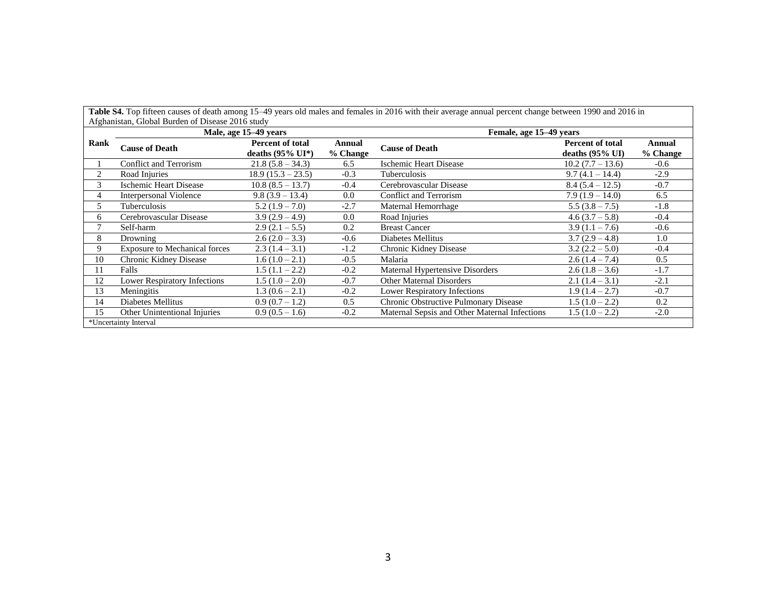|      | Afghanistan, Global Burden of Disease 2016 study |                                                        |                    | Table S4. Top fifteen causes of death among 15–49 years old males and females in 2016 with their average annual percent change between 1990 and 2016 in |                                                |                      |  |  |
|------|--------------------------------------------------|--------------------------------------------------------|--------------------|---------------------------------------------------------------------------------------------------------------------------------------------------------|------------------------------------------------|----------------------|--|--|
|      |                                                  | Male, age 15–49 years                                  |                    | Female, age 15–49 years                                                                                                                                 |                                                |                      |  |  |
| Rank | <b>Cause of Death</b>                            | <b>Percent of total</b><br>deaths $(95\% \text{ UI*})$ | Annual<br>% Change | <b>Cause of Death</b>                                                                                                                                   | Percent of total<br>deaths $(95\% \text{ UI})$ | Annual<br>$%$ Change |  |  |
|      | Conflict and Terrorism                           | $21.8(5.8 - 34.3)$                                     | 6.5                | <b>Ischemic Heart Disease</b>                                                                                                                           | $10.2(7.7 - 13.6)$                             | $-0.6$               |  |  |
| 2    | Road Injuries                                    | $18.9(15.3 - 23.5)$                                    | $-0.3$             | Tuberculosis                                                                                                                                            | $9.7(4.1 - 14.4)$                              | $-2.9$               |  |  |
| 3    | Ischemic Heart Disease                           | $10.8(8.5 - 13.7)$                                     | $-0.4$             | Cerebrovascular Disease                                                                                                                                 | $8.4(5.4-12.5)$                                | $-0.7$               |  |  |
| 4    | <b>Interpersonal Violence</b>                    | $9.8(3.9-13.4)$                                        | 0.0                | Conflict and Terrorism                                                                                                                                  | $7.9(1.9-14.0)$                                | 6.5                  |  |  |
| 5    | Tuberculosis                                     | $5.2(1.9 - 7.0)$                                       | $-2.7$             | Maternal Hemorrhage                                                                                                                                     | $5.5(3.8 - 7.5)$                               | $-1.8$               |  |  |
| 6    | Cerebrovascular Disease                          | $3.9(2.9-4.9)$                                         | 0.0                | Road Injuries                                                                                                                                           | $4.6(3.7-5.8)$                                 | $-0.4$               |  |  |
| 7    | Self-harm                                        | $2.9(2.1-5.5)$                                         | 0.2                | <b>Breast Cancer</b>                                                                                                                                    | $3.9(1.1 - 7.6)$                               | $-0.6$               |  |  |
| 8    | Drowning                                         | $2.6(2.0-3.3)$                                         | $-0.6$             | Diabetes Mellitus                                                                                                                                       | $3.7(2.9-4.8)$                                 | 1.0                  |  |  |
| 9    | <b>Exposure to Mechanical forces</b>             | $2.3(1.4-3.1)$                                         | $-1.2$             | Chronic Kidney Disease                                                                                                                                  | $3.2(2.2-5.0)$                                 | $-0.4$               |  |  |
| 10   | Chronic Kidney Disease                           | $1.6(1.0-2.1)$                                         | $-0.5$             | Malaria                                                                                                                                                 | $2.6(1.4 - 7.4)$                               | 0.5                  |  |  |
| 11   | Falls                                            | $1.5(1.1 - 2.2)$                                       | $-0.2$             | Maternal Hypertensive Disorders                                                                                                                         | $2.6(1.8-3.6)$                                 | $-1.7$               |  |  |
| 12   | <b>Lower Respiratory Infections</b>              | $1.5(1.0-2.0)$                                         | $-0.7$             | <b>Other Maternal Disorders</b>                                                                                                                         | $2.1(1.4-3.1)$                                 | $-2.1$               |  |  |
| 13   | Meningitis                                       | $1.3(0.6 - 2.1)$                                       | $-0.2$             | <b>Lower Respiratory Infections</b>                                                                                                                     | $1.9(1.4-2.7)$                                 | $-0.7$               |  |  |
| 14   | Diabetes Mellitus                                | $0.9(0.7-1.2)$                                         | 0.5                | Chronic Obstructive Pulmonary Disease                                                                                                                   | $1.5(1.0-2.2)$                                 | 0.2                  |  |  |
| 15   | Other Unintentional Injuries                     | $0.9(0.5 - 1.6)$                                       | $-0.2$             | Maternal Sepsis and Other Maternal Infections                                                                                                           | $1.5(1.0-2.2)$                                 | $-2.0$               |  |  |
|      | *Uncertainty Interval                            |                                                        |                    |                                                                                                                                                         |                                                |                      |  |  |

3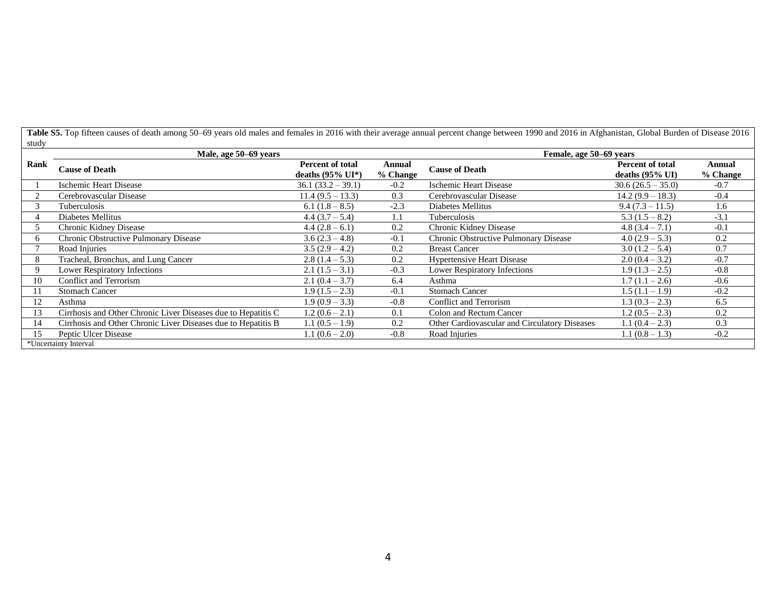Table S5. Top fifteen causes of death among 50–69 years old males and females in 2016 with their average annual percent change between 1990 and 2016 in Afghanistan, Global Burden of Disease 2016 study

|              | Male, age 50–69 years                                         | Female, age 50–69 years                                |                    |                                               |                                                       |                    |
|--------------|---------------------------------------------------------------|--------------------------------------------------------|--------------------|-----------------------------------------------|-------------------------------------------------------|--------------------|
| Rank         | <b>Cause of Death</b>                                         | <b>Percent of total</b><br>deaths $(95\% \text{ UI*})$ | Annual<br>% Change | <b>Cause of Death</b>                         | <b>Percent of total</b><br>deaths $(95\% \text{ UI})$ | Annual<br>% Change |
|              | <b>Ischemic Heart Disease</b>                                 | $36.1 (33.2 - 39.1)$                                   | $-0.2$             | Ischemic Heart Disease                        | $30.6(26.5-35.0)$                                     | $-0.7$             |
|              | Cerebrovascular Disease                                       | $11.4(9.5 - 13.3)$                                     | 0.3                | Cerebrovascular Disease                       | $14.2(9.9 - 18.3)$                                    | $-0.4$             |
|              | Tuberculosis                                                  | $6.1(1.8-8.5)$                                         | $-2.3$             | Diabetes Mellitus                             | $9.4(7.3 - 11.5)$                                     | 1.6                |
|              | Diabetes Mellitus                                             | $4.4(3.7-5.4)$                                         | 1.1                | Tuberculosis                                  | $5.3(1.5-8.2)$                                        | $-3.1$             |
|              | Chronic Kidney Disease                                        | $4.4(2.8-6.1)$                                         | 0.2                | Chronic Kidney Disease                        | $4.8(3.4 - 7.1)$                                      | $-0.1$             |
| <sub>0</sub> | Chronic Obstructive Pulmonary Disease                         | $3.6(2.3-4.8)$                                         | $-0.1$             | Chronic Obstructive Pulmonary Disease         | $4.0(2.9-5.3)$                                        | 0.2                |
|              | Road Injuries                                                 | $3.5(2.9-4.2)$                                         | 0.2                | <b>Breast Cancer</b>                          | $3.0(1.2 - 5.4)$                                      | 0.7                |
| 8            | Tracheal, Bronchus, and Lung Cancer                           | $2.8(1.4-5.3)$                                         | 0.2                | <b>Hypertensive Heart Disease</b>             | $2.0(0.4 - 3.2)$                                      | $-0.7$             |
|              | Lower Respiratory Infections                                  | $2.1(1.5-3.1)$                                         | $-0.3$             | Lower Respiratory Infections                  | $1.9(1.3 - 2.5)$                                      | $-0.8$             |
| 10           | <b>Conflict and Terrorism</b>                                 | $2.1(0.4 - 3.7)$                                       | 6.4                | Asthma                                        | $1.7(1.1 - 2.6)$                                      | $-0.6$             |
|              | <b>Stomach Cancer</b>                                         | $1.9(1.5-2.3)$                                         | $-0.1$             | <b>Stomach Cancer</b>                         | $1.5(1.1-1.9)$                                        | $-0.2$             |
| 12           | Asthma                                                        | $1.9(0.9 - 3.3)$                                       | $-0.8$             | <b>Conflict and Terrorism</b>                 | $1.3(0.3 - 2.3)$                                      | 6.5                |
| 13           | Cirrhosis and Other Chronic Liver Diseases due to Hepatitis C | $1.2(0.6-2.1)$                                         | 0.1                | Colon and Rectum Cancer                       | $1.2(0.5 - 2.3)$                                      | 0.2                |
| 14           | Cirrhosis and Other Chronic Liver Diseases due to Hepatitis B | $1.1(0.5-1.9)$                                         | 0.2                | Other Cardiovascular and Circulatory Diseases | $1.1(0.4-2.3)$                                        | 0.3                |
|              | Peptic Ulcer Disease                                          | $1.1(0.6-2.0)$                                         | $-0.8$             | Road Injuries                                 | $1.1(0.8-1.3)$                                        | $-0.2$             |
|              | *Uncertainty Interval                                         |                                                        |                    |                                               |                                                       |                    |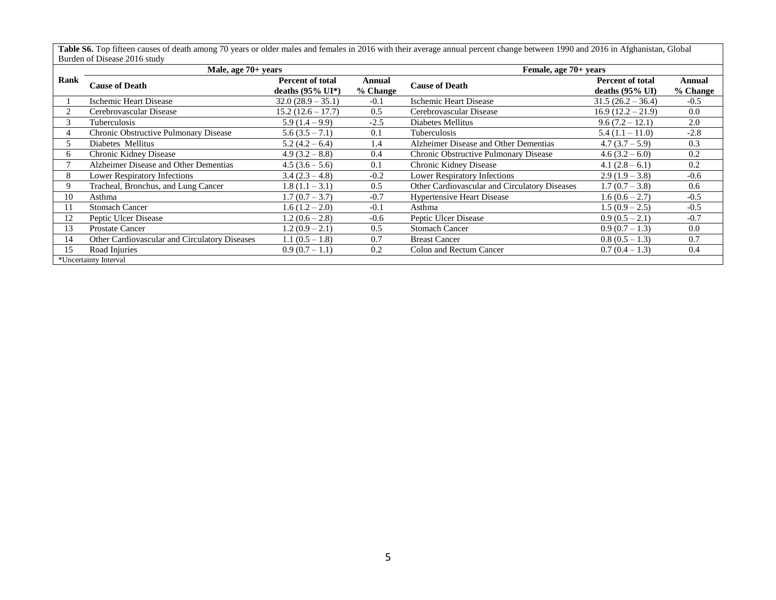Table S6. Top fifteen causes of death among 70 years or older males and females in 2016 with their average annual percent change between 1990 and 2016 in Afghanistan, Global Burden of Disease 2016 study

|               | 2010au - 2120au - 224 - 235<br>Male, age 70+ years |                                                        |                    | Female, age 70+ years                         |                                                       |                    |
|---------------|----------------------------------------------------|--------------------------------------------------------|--------------------|-----------------------------------------------|-------------------------------------------------------|--------------------|
| Rank          | <b>Cause of Death</b>                              | <b>Percent of total</b><br>deaths $(95\% \text{ UI*})$ | Annual<br>% Change | <b>Cause of Death</b>                         | <b>Percent of total</b><br>deaths $(95\% \text{ UI})$ | Annual<br>% Change |
|               | Ischemic Heart Disease                             | $32.0(28.9 - 35.1)$                                    | $-0.1$             | Ischemic Heart Disease                        | $31.5(26.2 - 36.4)$                                   | $-0.5$             |
|               | Cerebrovascular Disease                            | $15.2(12.6 - 17.7)$                                    | 0.5                | Cerebrovascular Disease                       | $16.9(12.2 - 21.9)$                                   | 0.0                |
| 3             | <b>Tuberculosis</b>                                | $5.9(1.4-9.9)$                                         | $-2.5$             | Diabetes Mellitus                             | $9.6(7.2 - 12.1)$                                     | 2.0                |
|               | Chronic Obstructive Pulmonary Disease              | $5.6(3.5 - 7.1)$                                       | 0.1                | Tuberculosis                                  | $5.4(1.1 - 11.0)$                                     | $-2.8$             |
| $\mathcal{D}$ | Diabetes Mellitus                                  | $5.2(4.2-6.4)$                                         | 1.4                | Alzheimer Disease and Other Dementias         | $4.7(3.7-5.9)$                                        | 0.3                |
| 6             | Chronic Kidney Disease                             | $4.9(3.2 - 8.8)$                                       | 0.4                | Chronic Obstructive Pulmonary Disease         | $4.6(3.2-6.0)$                                        | 0.2                |
|               | Alzheimer Disease and Other Dementias              | $4.5(3.6-5.6)$                                         | 0.1                | Chronic Kidney Disease                        | $4.1(2.8-6.1)$                                        | 0.2                |
| 8             | Lower Respiratory Infections                       | $3.4(2.3-4.8)$                                         | $-0.2$             | Lower Respiratory Infections                  | $2.9(1.9-3.8)$                                        | $-0.6$             |
| 9             | Tracheal, Bronchus, and Lung Cancer                | $1.8(1.1 - 3.1)$                                       | 0.5                | Other Cardiovascular and Circulatory Diseases | $1.7(0.7 - 3.8)$                                      | 0.6                |
| 10            | Asthma                                             | $1.7(0.7 - 3.7)$                                       | $-0.7$             | <b>Hypertensive Heart Disease</b>             | $1.6(0.6 - 2.7)$                                      | $-0.5$             |
| 11            | <b>Stomach Cancer</b>                              | $1.6(1.2 - 2.0)$                                       | $-0.1$             | Asthma                                        | $1.5(0.9 - 2.5)$                                      | $-0.5$             |
| 12            | Peptic Ulcer Disease                               | $1.2(0.6 - 2.8)$                                       | $-0.6$             | Peptic Ulcer Disease                          | $0.9(0.5-2.1)$                                        | $-0.7$             |
| 13            | <b>Prostate Cancer</b>                             | $1.2(0.9-2.1)$                                         | 0.5                | <b>Stomach Cancer</b>                         | $0.9(0.7 - 1.3)$                                      | 0.0                |
| 14            | Other Cardiovascular and Circulatory Diseases      | $1.1(0.5 - 1.8)$                                       | 0.7                | <b>Breast Cancer</b>                          | $0.8(0.5-1.3)$                                        | 0.7                |
| 15            | Road Injuries                                      | $0.9(0.7-1.1)$                                         | 0.2                | Colon and Rectum Cancer                       | $0.7(0.4-1.3)$                                        | 0.4                |
|               | *Uncertainty Interval                              |                                                        |                    |                                               |                                                       |                    |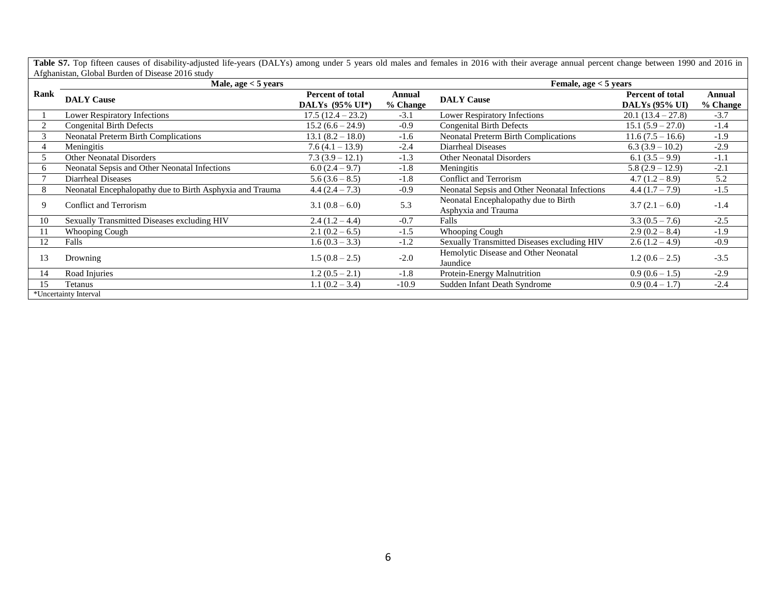Table S7. Top fifteen causes of disability-adjusted life-years (DALYs) among under 5 years old males and females in 2016 with their average annual percent change between 1990 and 2016 in Afghanistan, Global Burden of Disease 2016 study

|      | Male, $age < 5$ years                                    |                                            |                    | Female, age $<$ 5 years                                     |                                                  |                    |
|------|----------------------------------------------------------|--------------------------------------------|--------------------|-------------------------------------------------------------|--------------------------------------------------|--------------------|
| Rank | <b>DALY Cause</b>                                        | <b>Percent of total</b><br>DALYs (95% UI*) | Annual<br>% Change | <b>DALY Cause</b>                                           | <b>Percent of total</b><br><b>DALYs (95% UI)</b> | Annual<br>% Change |
|      | <b>Lower Respiratory Infections</b>                      | $17.5(12.4-23.2)$                          | $-3.1$             | <b>Lower Respiratory Infections</b>                         | $20.1(13.4 - 27.8)$                              | $-3.7$             |
|      | <b>Congenital Birth Defects</b>                          | $15.2(6.6 - 24.9)$                         | $-0.9$             | <b>Congenital Birth Defects</b>                             | $15.1 (5.9 - 27.0)$                              | $-1.4$             |
| -1   | <b>Neonatal Preterm Birth Complications</b>              | $13.1(8.2 - 18.0)$                         | $-1.6$             | <b>Neonatal Preterm Birth Complications</b>                 | $11.6(7.5 - 16.6)$                               | $-1.9$             |
|      | Meningitis                                               | $7.6(4.1 - 13.9)$                          | $-2.4$             | Diarrheal Diseases                                          | $6.3(3.9-10.2)$                                  | $-2.9$             |
|      | <b>Other Neonatal Disorders</b>                          | $7.3(3.9-12.1)$                            | $-1.3$             | <b>Other Neonatal Disorders</b>                             | $6.1(3.5-9.9)$                                   | $-1.1$             |
|      | Neonatal Sepsis and Other Neonatal Infections            | $6.0(2.4-9.7)$                             | $-1.8$             | Meningitis                                                  | $5.8(2.9 - 12.9)$                                | $-2.1$             |
|      | Diarrheal Diseases                                       | $5.6(3.6-8.5)$                             | $-1.8$             | Conflict and Terrorism                                      | $4.7(1.2-8.9)$                                   | 5.2                |
| 8.   | Neonatal Encephalopathy due to Birth Asphyxia and Trauma | $4.4(2.4-7.3)$                             | $-0.9$             | Neonatal Sepsis and Other Neonatal Infections               | $4.4(1.7-7.9)$                                   | $-1.5$             |
| 9    | <b>Conflict and Terrorism</b>                            | $3.1(0.8-6.0)$                             | 5.3                | Neonatal Encephalopathy due to Birth<br>Asphyxia and Trauma | $3.7(2.1-6.0)$                                   | $-1.4$             |
| 10   | Sexually Transmitted Diseases excluding HIV              | $2.4(1.2 - 4.4)$                           | $-0.7$             | Falls                                                       | $3.3(0.5 - 7.6)$                                 | $-2.5$             |
|      | Whooping Cough                                           | $2.1(0.2-6.5)$                             | $-1.5$             | <b>Whooping Cough</b>                                       | $2.9(0.2 - 8.4)$                                 | $-1.9$             |
| 12   | Falls                                                    | $1.6(0.3 - 3.3)$                           | $-1.2$             | Sexually Transmitted Diseases excluding HIV                 | $2.6(1.2-4.9)$                                   | $-0.9$             |
| 13   | Drowning                                                 | $1.5(0.8 - 2.5)$                           | $-2.0$             | Hemolytic Disease and Other Neonatal<br>Jaundice            | $1.2(0.6-2.5)$                                   | $-3.5$             |
| 14   | Road Injuries                                            | $1.2(0.5 - 2.1)$                           | $-1.8$             | Protein-Energy Malnutrition                                 | $0.9(0.6-1.5)$                                   | $-2.9$             |
| 15   | Tetanus                                                  | $1.1(0.2 - 3.4)$                           | $-10.9$            | Sudden Infant Death Syndrome                                | $0.9(0.4-1.7)$                                   | $-2.4$             |
|      | *Uncertainty Interval                                    |                                            |                    |                                                             |                                                  |                    |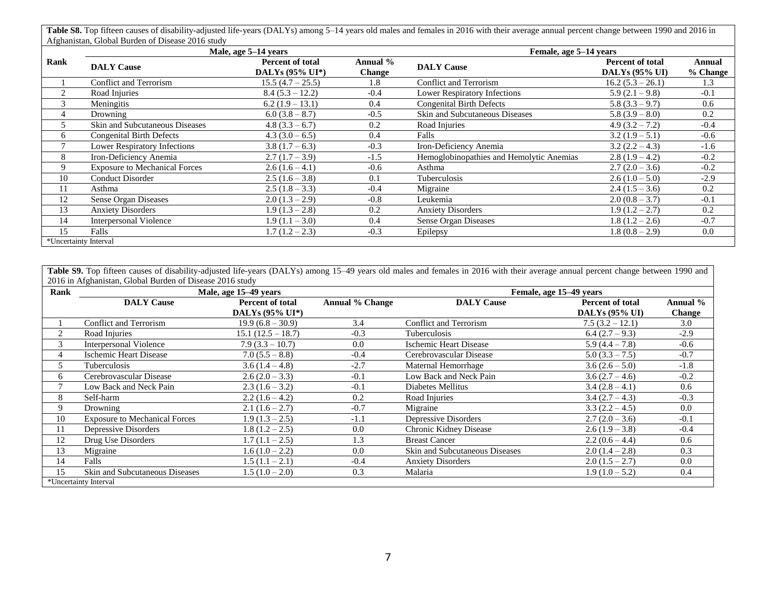Table S8. Top fifteen causes of disability-adjusted life-years (DALYs) among 5–14 years old males and females in 2016 with their average annual percent change between 1990 and 2016 in Afghanistan, Global Burden of Disease 2016 study

|                       |                                      | Male, age 5–14 years                |                    | Female, age 5–14 years                   |                                                  |                    |
|-----------------------|--------------------------------------|-------------------------------------|--------------------|------------------------------------------|--------------------------------------------------|--------------------|
| Rank                  | <b>DALY Cause</b>                    | Percent of total<br>DALYs (95% UI*) | Annual %<br>Change | <b>DALY Cause</b>                        | <b>Percent of total</b><br><b>DALYs (95% UI)</b> | Annual<br>% Change |
|                       | <b>Conflict and Terrorism</b>        | $15.5(4.7-25.5)$                    | 1.8                | Conflict and Terrorism                   | $16.2 (5.3 - 26.1)$                              | 1.3                |
| $\overline{2}$        | Road Injuries                        | $8.4(5.3 - 12.2)$                   | $-0.4$             | <b>Lower Respiratory Infections</b>      | $5.9(2.1-9.8)$                                   | $-0.1$             |
| 3                     | Meningitis                           | $6.2(1.9-13.1)$                     | 0.4                | <b>Congenital Birth Defects</b>          | $5.8(3.3 - 9.7)$                                 | 0.6                |
| 4                     | Drowning                             | $6.0(3.8-8.7)$                      | $-0.5$             | Skin and Subcutaneous Diseases           | $5.8(3.9-8.0)$                                   | 0.2                |
|                       | Skin and Subcutaneous Diseases       | $4.8(3.3-6.7)$                      | 0.2                | Road Injuries                            | $4.9(3.2 - 7.2)$                                 | $-0.4$             |
| 6                     | <b>Congenital Birth Defects</b>      | $4.3(3.0-6.5)$                      | 0.4                | Falls                                    | $3.2(1.9-5.1)$                                   | $-0.6$             |
|                       | Lower Respiratory Infections         | $3.8(1.7-6.3)$                      | $-0.3$             | Iron-Deficiency Anemia                   | $3.2(2.2 - 4.3)$                                 | $-1.6$             |
| 8                     | Iron-Deficiency Anemia               | $2.7(1.7-3.9)$                      | $-1.5$             | Hemoglobinopathies and Hemolytic Anemias | $2.8(1.9-4.2)$                                   | $-0.2$             |
| Q                     | <b>Exposure to Mechanical Forces</b> | $2.6(1.6-4.1)$                      | $-0.6$             | Asthma                                   | $2.7(2.0-3.6)$                                   | $-0.2$             |
| 10                    | <b>Conduct Disorder</b>              | $2.5(1.6-3.8)$                      | 0.1                | Tuberculosis                             | $2.6(1.0-5.0)$                                   | $-2.9$             |
| 11                    | Asthma                               | $2.5(1.8-3.3)$                      | $-0.4$             | Migraine                                 | $2.4(1.5-3.6)$                                   | 0.2                |
| 12                    | Sense Organ Diseases                 | $2.0(1.3-2.9)$                      | $-0.8$             | Leukemia                                 | $2.0(0.8 - 3.7)$                                 | $-0.1$             |
| 13                    | <b>Anxiety Disorders</b>             | $1.9(1.3-2.8)$                      | 0.2                | <b>Anxiety Disorders</b>                 | $1.9(1.2 - 2.7)$                                 | 0.2                |
| 14                    | <b>Interpersonal Violence</b>        | $1.9(1.1 - 3.0)$                    | 0.4                | Sense Organ Diseases                     | $1.8(1.2 - 2.6)$                                 | $-0.7$             |
| 15                    | Falls                                | $1.7(1.2-2.3)$                      | $-0.3$             | Epilepsy                                 | $1.8(0.8-2.9)$                                   | 0.0                |
| *Uncertainty Interval |                                      |                                     |                    |                                          |                                                  |                    |

Table S9. Top fifteen causes of disability-adjusted life-years (DALYs) among 15-49 years old males and females in 2016 with their average annual percent change between 1990 and 2016 in Afghanistan, Global Burden of Disease 2016 study

| Rank |                                       | Male, age 15–49 years   |                        |                                | Female, age 15–49 years |               |
|------|---------------------------------------|-------------------------|------------------------|--------------------------------|-------------------------|---------------|
|      | <b>DALY Cause</b>                     | <b>Percent of total</b> | <b>Annual % Change</b> | <b>DALY Cause</b>              | <b>Percent of total</b> | Annual %      |
|      |                                       | DALYs (95% UI*)         |                        |                                | <b>DALYs (95% UI)</b>   | <b>Change</b> |
|      | <b>Conflict and Terrorism</b>         | $19.9(6.8 - 30.9)$      | 3.4                    | <b>Conflict and Terrorism</b>  | $7.5(3.2 - 12.1)$       | 3.0           |
| 2    | Road Injuries                         | $15.1(12.5 - 18.7)$     | $-0.3$                 | Tuberculosis                   | $6.4(2.7-9.3)$          | $-2.9$        |
| 3    | <b>Interpersonal Violence</b>         | $7.9(3.3 - 10.7)$       | 0.0                    | Ischemic Heart Disease         | $5.9(4.4 - 7.8)$        | $-0.6$        |
| 4    | Ischemic Heart Disease                | $7.0(5.5 - 8.8)$        | $-0.4$                 | Cerebrovascular Disease        | $5.0(3.3 - 7.5)$        | $-0.7$        |
| 5.   | Tuberculosis                          | $3.6(1.4-4.8)$          | $-2.7$                 | Maternal Hemorrhage            | $3.6(2.6-5.0)$          | $-1.8$        |
| 6    | Cerebrovascular Disease               | $2.6(2.0-3.3)$          | $-0.1$                 | Low Back and Neck Pain         | $3.6(2.7 - 4.6)$        | $-0.2$        |
|      | Low Back and Neck Pain                | $2.3(1.6-3.2)$          | $-0.1$                 | Diabetes Mellitus              | $3.4(2.8-4.1)$          | 0.6           |
| 8    | Self-harm                             | $2.2(1.6-4.2)$          | 0.2                    | Road Injuries                  | $3.4(2.7-4.3)$          | $-0.3$        |
| 9    | Drowning                              | $2.1(1.6-2.7)$          | $-0.7$                 | Migraine                       | $3.3(2.2 - 4.5)$        | 0.0           |
| 10   | <b>Exposure to Mechanical Forces</b>  | $1.9(1.3-2.5)$          | $-1.1$                 | Depressive Disorders           | $2.7(2.0-3.6)$          | $-0.1$        |
| 11   | Depressive Disorders                  | $1.8(1.2 - 2.5)$        | 0.0                    | Chronic Kidney Disease         | $2.6(1.9-3.8)$          | $-0.4$        |
| 12   | Drug Use Disorders                    | $1.7(1.1-2.5)$          | 1.3                    | <b>Breast Cancer</b>           | $2.2(0.6 - 4.4)$        | 0.6           |
| 13   | Migraine                              | $1.6(1.0-2.2)$          | 0.0                    | Skin and Subcutaneous Diseases | $2.0(1.4-2.8)$          | 0.3           |
| 14   | Falls                                 | $1.5(1.1-2.1)$          | $-0.4$                 | <b>Anxiety Disorders</b>       | $2.0(1.5 - 2.7)$        | 0.0           |
| 15   | <b>Skin and Subcutaneous Diseases</b> | $1.5(1.0-2.0)$          | 0.3                    | Malaria                        | $1.9(1.0-5.2)$          | 0.4           |
|      | *Uncertainty Interval                 |                         |                        |                                |                         |               |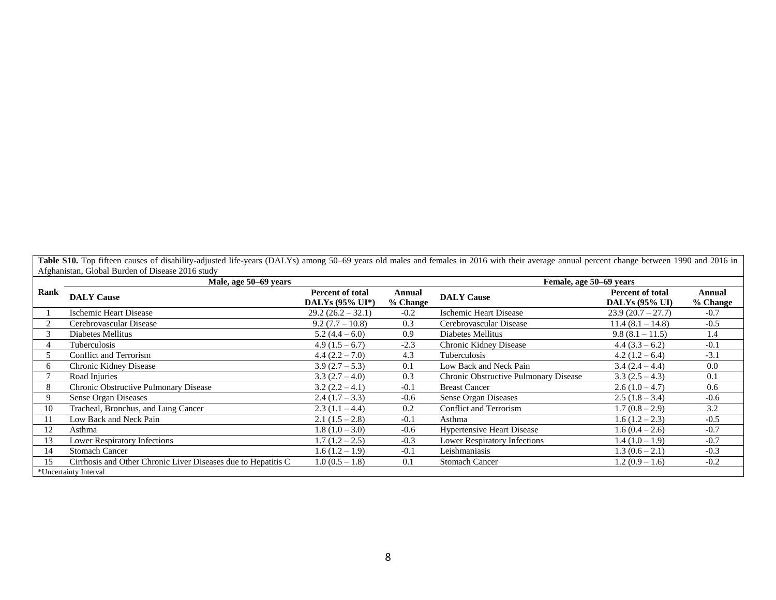Table S10. Top fifteen causes of disability-adjusted life-years (DALYs) among 50-69 years old males and females in 2016 with their average annual percent change between 1990 and 2016 in Afghanistan, Global Burden of Disease 2016 study

|      | Male, age 50–69 years                                         |                                            |                    | Female, age 50–69 years               |                                                  |                    |
|------|---------------------------------------------------------------|--------------------------------------------|--------------------|---------------------------------------|--------------------------------------------------|--------------------|
| Rank | <b>DALY Cause</b>                                             | <b>Percent of total</b><br>DALYs (95% UI*) | Annual<br>% Change | <b>DALY Cause</b>                     | <b>Percent of total</b><br><b>DALYs (95% UI)</b> | Annual<br>% Change |
|      | Ischemic Heart Disease                                        | $29.2(26.2 - 32.1)$                        | $-0.2$             | Ischemic Heart Disease                | $23.9(20.7-27.7)$                                | $-0.7$             |
|      | Cerebrovascular Disease                                       | $9.2(7.7 - 10.8)$                          | 0.3                | Cerebrovascular Disease               | $11.4(8.1 - 14.8)$                               | $-0.5$             |
|      | Diabetes Mellitus                                             | $5.2(4.4-6.0)$                             | 0.9                | Diabetes Mellitus                     | $9.8(8.1 - 11.5)$                                | 1.4                |
|      | Tuberculosis                                                  | $4.9(1.5-6.7)$                             | $-2.3$             | Chronic Kidney Disease                | $4.4(3.3-6.2)$                                   | $-0.1$             |
|      | <b>Conflict and Terrorism</b>                                 | $4.4(2.2 - 7.0)$                           | 4.3                | Tuberculosis                          | $4.2(1.2-6.4)$                                   | $-3.1$             |
| 6    | Chronic Kidney Disease                                        | $3.9(2.7-5.3)$                             | 0.1                | Low Back and Neck Pain                | $3.4(2.4 - 4.4)$                                 | 0.0                |
|      | Road Injuries                                                 | $3.3(2.7-4.0)$                             | 0.3                | Chronic Obstructive Pulmonary Disease | $3.3(2.5 - 4.3)$                                 | 0.1                |
| 8    | Chronic Obstructive Pulmonary Disease                         | $3.2(2.2 - 4.1)$                           | $-0.1$             | <b>Breast Cancer</b>                  | $2.6(1.0-4.7)$                                   | 0.6                |
| 9    | Sense Organ Diseases                                          | $2.4(1.7-3.3)$                             | $-0.6$             | Sense Organ Diseases                  | $2.5(1.8-3.4)$                                   | $-0.6$             |
| 10   | Tracheal, Bronchus, and Lung Cancer                           | $2.3(1.1 - 4.4)$                           | 0.2                | <b>Conflict and Terrorism</b>         | $1.7(0.8 - 2.9)$                                 | 3.2                |
|      | Low Back and Neck Pain                                        | $2.1(1.5-2.8)$                             | $-0.1$             | Asthma                                | $1.6(1.2-2.3)$                                   | $-0.5$             |
| 12   | Asthma                                                        | $1.8(1.0-3.0)$                             | $-0.6$             | <b>Hypertensive Heart Disease</b>     | $1.6(0.4-2.6)$                                   | $-0.7$             |
| 13   | Lower Respiratory Infections                                  | $1.7(1.2 - 2.5)$                           | $-0.3$             | <b>Lower Respiratory Infections</b>   | $1.4(1.0-1.9)$                                   | $-0.7$             |
| 14   | <b>Stomach Cancer</b>                                         | $1.6(1.2 - 1.9)$                           | $-0.1$             | Leishmaniasis                         | $1.3(0.6-2.1)$                                   | $-0.3$             |
| 15   | Cirrhosis and Other Chronic Liver Diseases due to Hepatitis C | $1.0(0.5 - 1.8)$                           | 0.1                | <b>Stomach Cancer</b>                 | $1.2(0.9 - 1.6)$                                 | $-0.2$             |
|      | *Uncertainty Interval                                         |                                            |                    |                                       |                                                  |                    |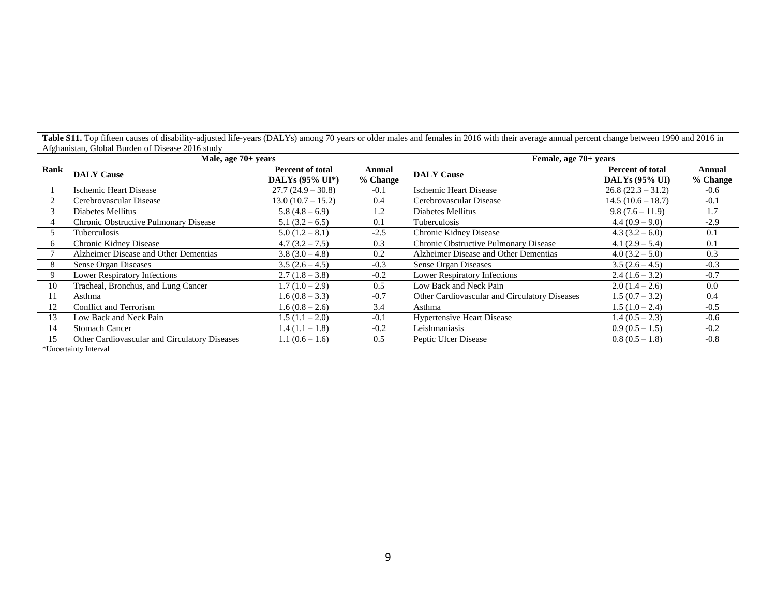| Rank |                                               | Male, age 70+ years                        |                    | Female, age 70+ years                         |                                                  |                      |
|------|-----------------------------------------------|--------------------------------------------|--------------------|-----------------------------------------------|--------------------------------------------------|----------------------|
|      | <b>DALY Cause</b>                             | <b>Percent of total</b><br>DALYs (95% UI*) | Annual<br>% Change | <b>DALY Cause</b>                             | <b>Percent of total</b><br><b>DALYs (95% UI)</b> | Annual<br>$%$ Change |
|      | <b>Ischemic Heart Disease</b>                 | $27.7(24.9 - 30.8)$                        | $-0.1$             | <b>Ischemic Heart Disease</b>                 | $26.8(22.3 - 31.2)$                              | $-0.6$               |
|      | Cerebrovascular Disease                       | $13.0(10.7 - 15.2)$                        | 0.4                | Cerebrovascular Disease                       | $14.5(10.6 - 18.7)$                              | $-0.1$               |
| 3    | Diabetes Mellitus                             | $5.8(4.8-6.9)$                             | 1.2                | Diabetes Mellitus                             | $9.8(7.6 - 11.9)$                                | 1.7                  |
| 4    | Chronic Obstructive Pulmonary Disease         | $5.1(3.2-6.5)$                             | 0.1                | Tuberculosis                                  | $4.4(0.9-9.0)$                                   | $-2.9$               |
| 5    | Tuberculosis                                  | $5.0(1.2-8.1)$                             | $-2.5$             | Chronic Kidney Disease                        | $4.3(3.2-6.0)$                                   | 0.1                  |
| 6    | Chronic Kidney Disease                        | $4.7(3.2 - 7.5)$                           | 0.3                | Chronic Obstructive Pulmonary Disease         | 4.1 $(2.9 - 5.4)$                                | 0.1                  |
|      | Alzheimer Disease and Other Dementias         | $3.8(3.0-4.8)$                             | 0.2                | Alzheimer Disease and Other Dementias         | $4.0 (3.2 - 5.0)$                                | 0.3                  |
| 8    | Sense Organ Diseases                          | $3.5(2.6 - 4.5)$                           | $-0.3$             | Sense Organ Diseases                          | $3.5(2.6-4.5)$                                   | $-0.3$               |
| 9    | <b>Lower Respiratory Infections</b>           | $2.7(1.8-3.8)$                             | $-0.2$             | <b>Lower Respiratory Infections</b>           | $2.4(1.6-3.2)$                                   | $-0.7$               |
| 10   | Tracheal, Bronchus, and Lung Cancer           | $1.7(1.0-2.9)$                             | 0.5                | Low Back and Neck Pain                        | $2.0(1.4-2.6)$                                   | 0.0                  |
| 11   | Asthma                                        | $1.6(0.8 - 3.3)$                           | $-0.7$             | Other Cardiovascular and Circulatory Diseases | $1.5(0.7 - 3.2)$                                 | 0.4                  |
| 12   | Conflict and Terrorism                        | $1.6(0.8 - 2.6)$                           | 3.4                | Asthma                                        | $1.5(1.0-2.4)$                                   | $-0.5$               |
| 13   | Low Back and Neck Pain                        | $1.5(1.1 - 2.0)$                           | $-0.1$             | <b>Hypertensive Heart Disease</b>             | $1.4(0.5 - 2.3)$                                 | $-0.6$               |
| 14   | <b>Stomach Cancer</b>                         | $1.4(1.1 - 1.8)$                           | $-0.2$             | Leishmaniasis                                 | $0.9(0.5-1.5)$                                   | $-0.2$               |
| 15   | Other Cardiovascular and Circulatory Diseases | $1.1(0.6 - 1.6)$                           | 0.5                | Peptic Ulcer Disease                          | $0.8(0.5-1.8)$                                   | $-0.8$               |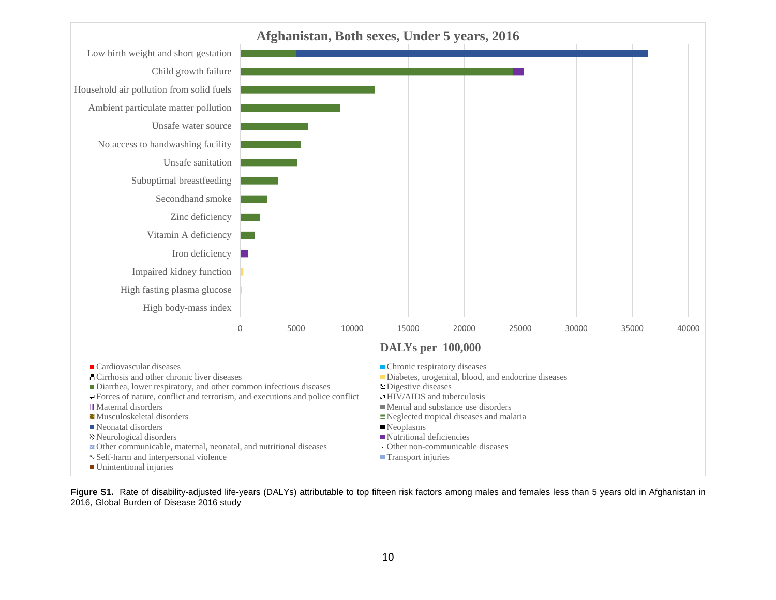

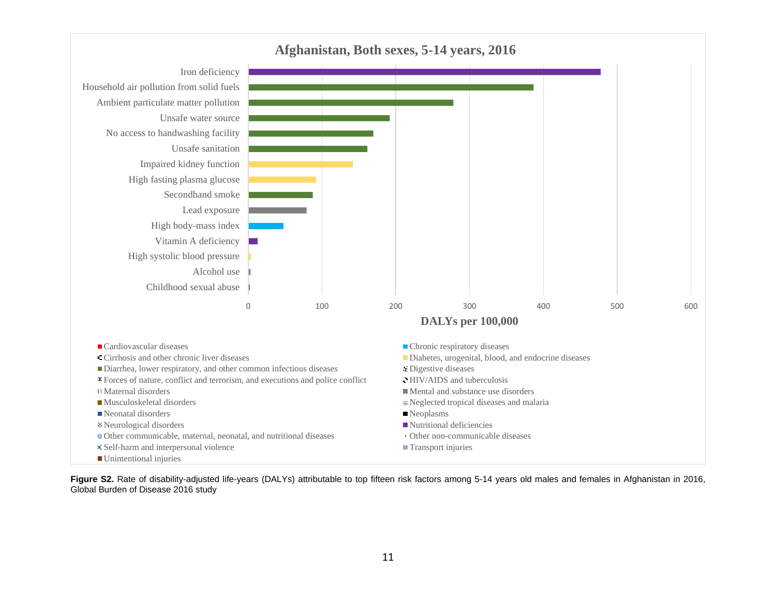

**Figure S2.** Rate of disability-adjusted life-years (DALYs) attributable to top fifteen risk factors among 5-14 years old males and females in Afghanistan in 2016, Global Burden of Disease 2016 study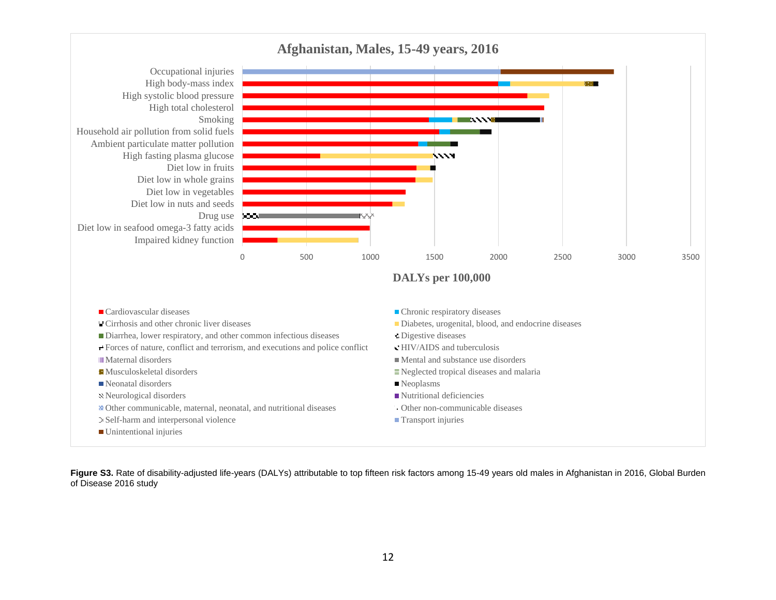

**Figure S3.** Rate of disability-adjusted life-years (DALYs) attributable to top fifteen risk factors among 15-49 years old males in Afghanistan in 2016, Global Burden of Disease 2016 study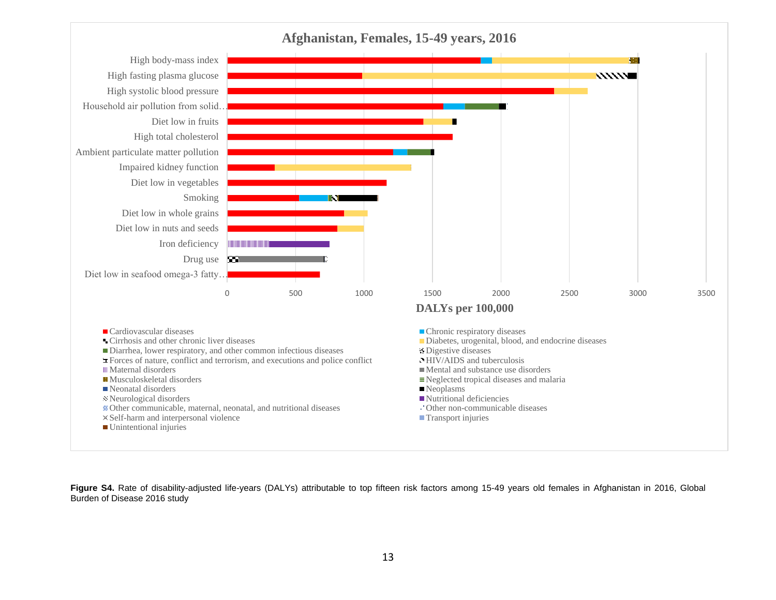

**Figure S4.** Rate of disability-adjusted life-years (DALYs) attributable to top fifteen risk factors among 15-49 years old females in Afghanistan in 2016, Global Burden of Disease 2016 study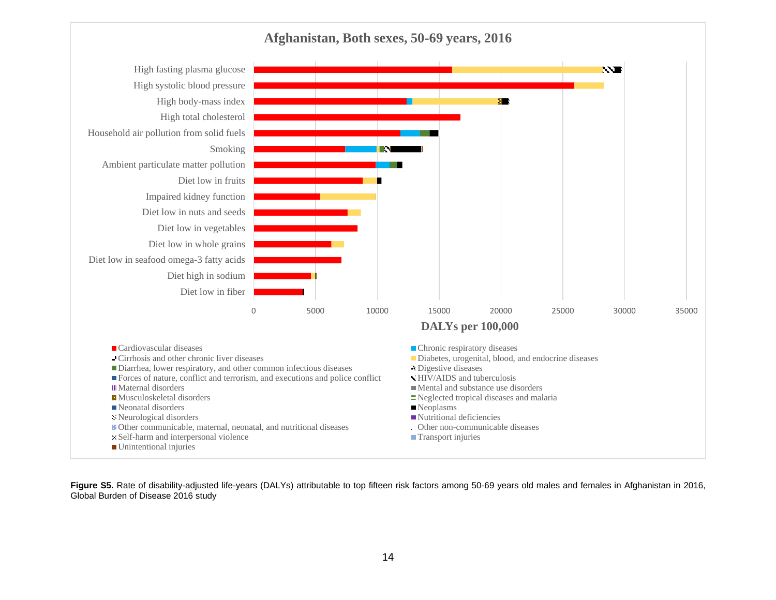

**Figure S5.** Rate of disability-adjusted life-years (DALYs) attributable to top fifteen risk factors among 50-69 years old males and females in Afghanistan in 2016, Global Burden of Disease 2016 study